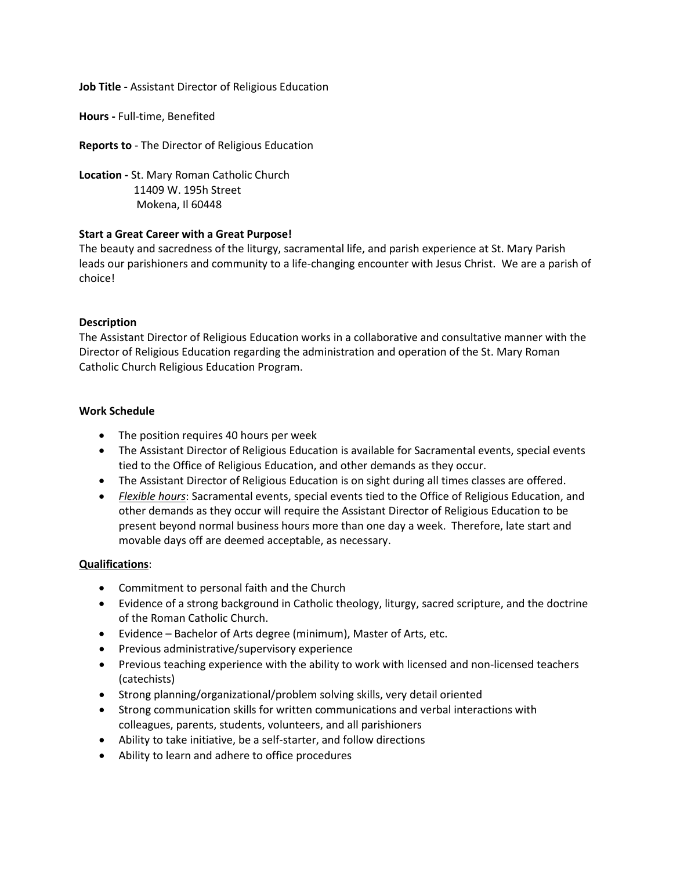**Job Title -** Assistant Director of Religious Education

**Hours -** Full-time, Benefited

**Reports to** - The Director of Religious Education

**Location -** St. Mary Roman Catholic Church 11409 W. 195h Street Mokena, Il 60448

## **Start a Great Career with a Great Purpose!**

The beauty and sacredness of the liturgy, sacramental life, and parish experience at St. Mary Parish leads our parishioners and community to a life-changing encounter with Jesus Christ. We are a parish of choice!

## **Description**

The Assistant Director of Religious Education works in a collaborative and consultative manner with the Director of Religious Education regarding the administration and operation of the St. Mary Roman Catholic Church Religious Education Program.

## **Work Schedule**

- The position requires 40 hours per week
- The Assistant Director of Religious Education is available for Sacramental events, special events tied to the Office of Religious Education, and other demands as they occur.
- The Assistant Director of Religious Education is on sight during all times classes are offered.
- *Flexible hours*: Sacramental events, special events tied to the Office of Religious Education, and other demands as they occur will require the Assistant Director of Religious Education to be present beyond normal business hours more than one day a week. Therefore, late start and movable days off are deemed acceptable, as necessary.

## **Qualifications**:

- Commitment to personal faith and the Church
- Evidence of a strong background in Catholic theology, liturgy, sacred scripture, and the doctrine of the Roman Catholic Church.
- Evidence Bachelor of Arts degree (minimum), Master of Arts, etc.
- Previous administrative/supervisory experience
- Previous teaching experience with the ability to work with licensed and non-licensed teachers (catechists)
- Strong planning/organizational/problem solving skills, very detail oriented
- Strong communication skills for written communications and verbal interactions with colleagues, parents, students, volunteers, and all parishioners
- Ability to take initiative, be a self-starter, and follow directions
- Ability to learn and adhere to office procedures